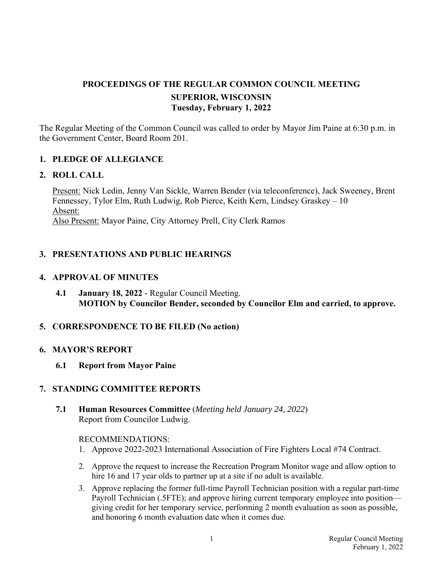# **PROCEEDINGS OF THE REGULAR COMMON COUNCIL MEETING SUPERIOR, WISCONSIN Tuesday, February 1, 2022**

The Regular Meeting of the Common Council was called to order by Mayor Jim Paine at 6:30 p.m. in the Government Center, Board Room 201.

### **1. PLEDGE OF ALLEGIANCE**

#### **2. ROLL CALL**

Present: Nick Ledin, Jenny Van Sickle, Warren Bender (via teleconference), Jack Sweeney, Brent Fennessey, Tylor Elm, Ruth Ludwig, Rob Pierce, Keith Kern, Lindsey Graskey – 10 Absent: Also Present: Mayor Paine, City Attorney Prell, City Clerk Ramos

## **3. PRESENTATIONS AND PUBLIC HEARINGS**

### **4. APPROVAL OF MINUTES**

**4.1 January 18, 2022** - Regular Council Meeting. **MOTION by Councilor Bender, seconded by Councilor Elm and carried, to approve.**

## **5. CORRESPONDENCE TO BE FILED (No action)**

#### **6. MAYOR'S REPORT**

 **6.1 Report from Mayor Paine** 

## **7. STANDING COMMITTEE REPORTS**

 **7.1 Human Resources Committee** (*Meeting held January 24, 2022*) Report from Councilor Ludwig.

#### RECOMMENDATIONS:

- 1. Approve 2022-2023 International Association of Fire Fighters Local #74 Contract.
- 2. Approve the request to increase the Recreation Program Monitor wage and allow option to hire 16 and 17 year olds to partner up at a site if no adult is available.
- 3. Approve replacing the former full-time Payroll Technician position with a regular part-time Payroll Technician (.5FTE); and approve hiring current temporary employee into position giving credit for her temporary service, performing 2 month evaluation as soon as possible, and honoring 6 month evaluation date when it comes due.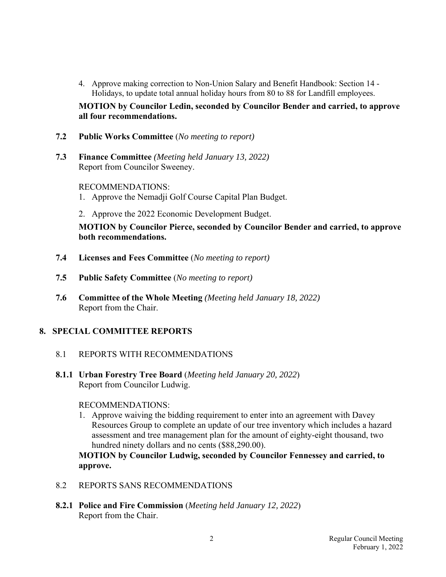4. Approve making correction to Non-Union Salary and Benefit Handbook: Section 14 - Holidays, to update total annual holiday hours from 80 to 88 for Landfill employees.

 **MOTION by Councilor Ledin, seconded by Councilor Bender and carried, to approve all four recommendations.**

- **7.2 Public Works Committee** (*No meeting to report)*
- **7.3 Finance Committee** *(Meeting held January 13, 2022)*  Report from Councilor Sweeney.

RECOMMENDATIONS:

- 1. Approve the Nemadji Golf Course Capital Plan Budget.
- 2. Approve the 2022 Economic Development Budget.

 **MOTION by Councilor Pierce, seconded by Councilor Bender and carried, to approve both recommendations.** 

- **7.4 Licenses and Fees Committee** (*No meeting to report)*
- **7.5 Public Safety Committee** (*No meeting to report)*
- **7.6 Committee of the Whole Meeting** *(Meeting held January 18, 2022)*  Report from the Chair.

#### **8. SPECIAL COMMITTEE REPORTS**

- 8.1 REPORTS WITH RECOMMENDATIONS
- **8.1.1 Urban Forestry Tree Board** (*Meeting held January 20, 2022*) Report from Councilor Ludwig.

RECOMMENDATIONS:

 1. Approve waiving the bidding requirement to enter into an agreement with Davey Resources Group to complete an update of our tree inventory which includes a hazard assessment and tree management plan for the amount of eighty-eight thousand, two hundred ninety dollars and no cents (\$88,290.00).

 **MOTION by Councilor Ludwig, seconded by Councilor Fennessey and carried, to approve.**

- 8.2 REPORTS SANS RECOMMENDATIONS
- **8.2.1 Police and Fire Commission** (*Meeting held January 12, 2022*) Report from the Chair.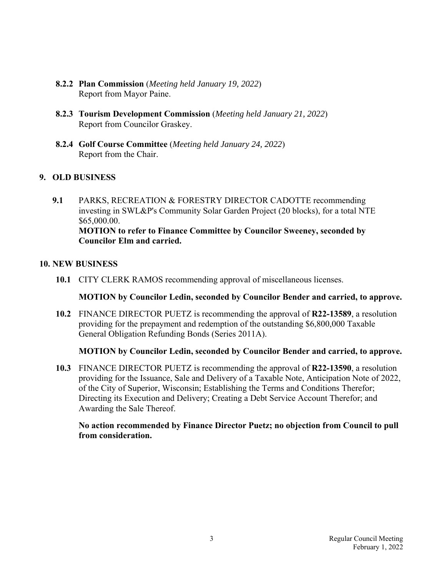- **8.2.2 Plan Commission** (*Meeting held January 19, 2022*) Report from Mayor Paine.
- **8.2.3 Tourism Development Commission** (*Meeting held January 21, 2022*) Report from Councilor Graskey.
- **8.2.4 Golf Course Committee** (*Meeting held January 24, 2022*) Report from the Chair.

## **9. OLD BUSINESS**

 **9.1** PARKS, RECREATION & FORESTRY DIRECTOR CADOTTE recommending investing in SWL&P's Community Solar Garden Project (20 blocks), for a total NTE \$65,000.00. **MOTION to refer to Finance Committee by Councilor Sweeney, seconded by Councilor Elm and carried.**

### **10. NEW BUSINESS**

 **10.1** CITY CLERK RAMOS recommending approval of miscellaneous licenses.

#### **MOTION by Councilor Ledin, seconded by Councilor Bender and carried, to approve.**

 **10.2** FINANCE DIRECTOR PUETZ is recommending the approval of **R22-13589**, a resolution providing for the prepayment and redemption of the outstanding \$6,800,000 Taxable General Obligation Refunding Bonds (Series 2011A).

## **MOTION by Councilor Ledin, seconded by Councilor Bender and carried, to approve.**

**10.3** FINANCE DIRECTOR PUETZ is recommending the approval of **R22-13590**, a resolution providing for the Issuance, Sale and Delivery of a Taxable Note, Anticipation Note of 2022, of the City of Superior, Wisconsin; Establishing the Terms and Conditions Therefor; Directing its Execution and Delivery; Creating a Debt Service Account Therefor; and Awarding the Sale Thereof.

#### **No action recommended by Finance Director Puetz; no objection from Council to pull from consideration.**